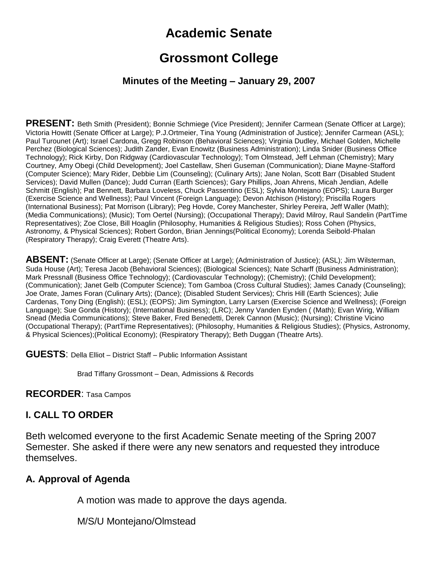# **Academic Senate**

## **Grossmont College**

#### **Minutes of the Meeting – January 29, 2007**

**PRESENT:** Beth Smith (President); Bonnie Schmiege (Vice President); Jennifer Carmean (Senate Officer at Large); Victoria Howitt (Senate Officer at Large); P.J.Ortmeier, Tina Young (Administration of Justice); Jennifer Carmean (ASL); Paul Turounet (Art); Israel Cardona, Gregg Robinson (Behavioral Sciences); Virginia Dudley, Michael Golden, Michelle Perchez (Biological Sciences); Judith Zander, Evan Enowitz (Business Administration); Linda Snider (Business Office Technology); Rick Kirby, Don Ridgway (Cardiovascular Technology); Tom Olmstead, Jeff Lehman (Chemistry); Mary Courtney, Amy Obegi (Child Development); Joel Castellaw, Sheri Guseman (Communication); Diane Mayne-Stafford (Computer Science); Mary Rider, Debbie Lim (Counseling); (Culinary Arts); Jane Nolan, Scott Barr (Disabled Student Services); David Mullen (Dance); Judd Curran (Earth Sciences); Gary Phillips, Joan Ahrens, Micah Jendian, Adelle Schmitt (English); Pat Bennett, Barbara Loveless, Chuck Passentino (ESL); Sylvia Montejano (EOPS); Laura Burger (Exercise Science and Wellness); Paul Vincent (Foreign Language); Devon Atchison (History); Priscilla Rogers (International Business); Pat Morrison (Library); Peg Hovde, Corey Manchester, Shirley Pereira, Jeff Waller (Math); (Media Communications); (Music); Tom Oertel (Nursing); (Occupational Therapy); David Milroy, Raul Sandelin (PartTime Representatives); Zoe Close, Bill Hoaglin (Philosophy, Humanities & Religious Studies); Ross Cohen (Physics, Astronomy, & Physical Sciences); Robert Gordon, Brian Jennings(Political Economy); Lorenda Seibold-Phalan (Respiratory Therapy); Craig Everett (Theatre Arts).

**ABSENT:** (Senate Officer at Large); (Senate Officer at Large); (Administration of Justice); (ASL); Jim Wilsterman, Suda House (Art); Teresa Jacob (Behavioral Sciences); (Biological Sciences); Nate Scharff (Business Administration); Mark Pressnall (Business Office Technology); (Cardiovascular Technology); (Chemistry); (Child Development); (Communication); Janet Gelb (Computer Science); Tom Gamboa (Cross Cultural Studies); James Canady (Counseling); Joe Orate, James Foran (Culinary Arts); (Dance); (Disabled Student Services); Chris Hill (Earth Sciences); Julie Cardenas, Tony Ding (English); (ESL); (EOPS); Jim Symington, Larry Larsen (Exercise Science and Wellness); (Foreign Language); Sue Gonda (History); (International Business); (LRC); Jenny Vanden Eynden ( (Math); Evan Wirig, William Snead (Media Communications); Steve Baker, Fred Benedetti, Derek Cannon (Music); (Nursing); Christine Vicino (Occupational Therapy); (PartTime Representatives); (Philosophy, Humanities & Religious Studies); (Physics, Astronomy, & Physical Sciences);(Political Economy); (Respiratory Therapy); Beth Duggan (Theatre Arts).

**GUESTS**: Della Elliot – District Staff – Public Information Assistant

Brad Tiffany Grossmont – Dean, Admissions & Records

#### **RECORDER**: Tasa Campos

#### **I. CALL TO ORDER**

Beth welcomed everyone to the first Academic Senate meeting of the Spring 2007 Semester. She asked if there were any new senators and requested they introduce themselves.

#### **A. Approval of Agenda**

A motion was made to approve the days agenda.

M/S/U Montejano/Olmstead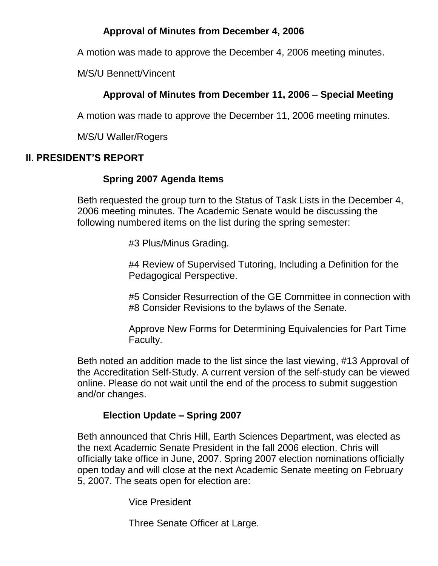### **Approval of Minutes from December 4, 2006**

A motion was made to approve the December 4, 2006 meeting minutes.

M/S/U Bennett/Vincent

### **Approval of Minutes from December 11, 2006 – Special Meeting**

A motion was made to approve the December 11, 2006 meeting minutes.

M/S/U Waller/Rogers

### **II. PRESIDENT'S REPORT**

### **Spring 2007 Agenda Items**

Beth requested the group turn to the Status of Task Lists in the December 4, 2006 meeting minutes. The Academic Senate would be discussing the following numbered items on the list during the spring semester:

#3 Plus/Minus Grading.

#4 Review of Supervised Tutoring, Including a Definition for the Pedagogical Perspective.

#5 Consider Resurrection of the GE Committee in connection with #8 Consider Revisions to the bylaws of the Senate.

Approve New Forms for Determining Equivalencies for Part Time Faculty.

Beth noted an addition made to the list since the last viewing, #13 Approval of the Accreditation Self-Study. A current version of the self-study can be viewed online. Please do not wait until the end of the process to submit suggestion and/or changes.

### **Election Update – Spring 2007**

Beth announced that Chris Hill, Earth Sciences Department, was elected as the next Academic Senate President in the fall 2006 election. Chris will officially take office in June, 2007. Spring 2007 election nominations officially open today and will close at the next Academic Senate meeting on February 5, 2007. The seats open for election are:

Vice President

Three Senate Officer at Large.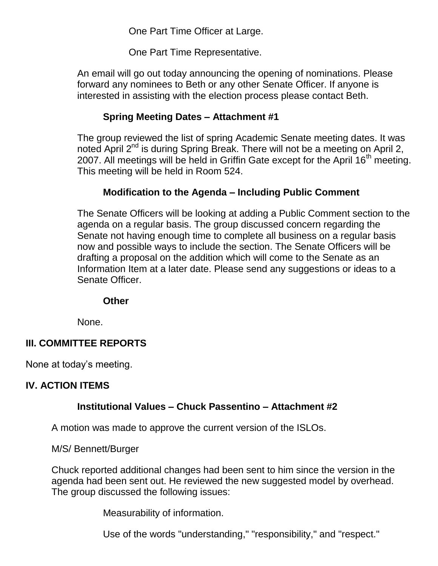One Part Time Officer at Large.

One Part Time Representative.

An email will go out today announcing the opening of nominations. Please forward any nominees to Beth or any other Senate Officer. If anyone is interested in assisting with the election process please contact Beth.

### **Spring Meeting Dates – Attachment #1**

The group reviewed the list of spring Academic Senate meeting dates. It was noted April  $2^{nd}$  is during Spring Break. There will not be a meeting on April 2, 2007. All meetings will be held in Griffin Gate except for the April 16<sup>th</sup> meeting. This meeting will be held in Room 524.

### **Modification to the Agenda – Including Public Comment**

The Senate Officers will be looking at adding a Public Comment section to the agenda on a regular basis. The group discussed concern regarding the Senate not having enough time to complete all business on a regular basis now and possible ways to include the section. The Senate Officers will be drafting a proposal on the addition which will come to the Senate as an Information Item at a later date. Please send any suggestions or ideas to a Senate Officer.

#### **Other**

None.

### **III. COMMITTEE REPORTS**

None at today's meeting.

#### **IV. ACTION ITEMS**

#### **Institutional Values – Chuck Passentino – Attachment #2**

A motion was made to approve the current version of the ISLOs.

M/S/ Bennett/Burger

Chuck reported additional changes had been sent to him since the version in the agenda had been sent out. He reviewed the new suggested model by overhead. The group discussed the following issues:

Measurability of information.

Use of the words "understanding," "responsibility," and "respect."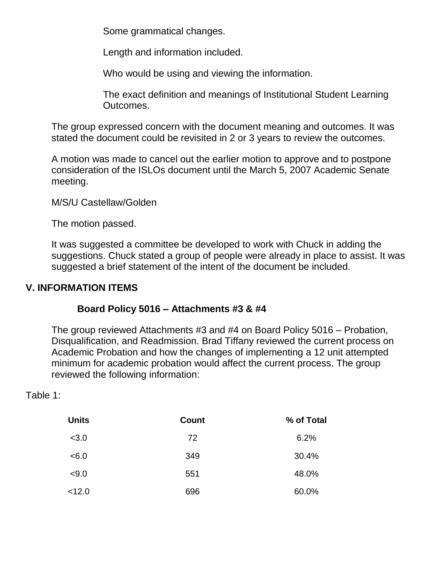Some grammatical changes.

Length and information included.

Who would be using and viewing the information.

The exact definition and meanings of Institutional Student Learning Outcomes.

The group expressed concern with the document meaning and outcomes. It was stated the document could be revisited in 2 or 3 years to review the outcomes.

A motion was made to cancel out the earlier motion to approve and to postpone consideration of the ISLOs document until the March 5, 2007 Academic Senate meeting.

M/S/U Castellaw/Golden

The motion passed.

It was suggested a committee be developed to work with Chuck in adding the suggestions. Chuck stated a group of people were already in place to assist. It was suggested a brief statement of the intent of the document be included.

## **V. INFORMATION ITEMS**

### **Board Policy 5016 – Attachments #3 & #4**

The group reviewed Attachments #3 and #4 on Board Policy 5016 – Probation, Disqualification, and Readmission. Brad Tiffany reviewed the current process on Academic Probation and how the changes of implementing a 12 unit attempted minimum for academic probation would affect the current process. The group reviewed the following information:

Table 1:

| <b>Units</b> | <b>Count</b> | % of Total |
|--------------|--------------|------------|
| < 3.0        | 72           | 6.2%       |
| < 6.0        | 349          | 30.4%      |
| < 9.0        | 551          | 48.0%      |
| < 12.0       | 696          | 60.0%      |